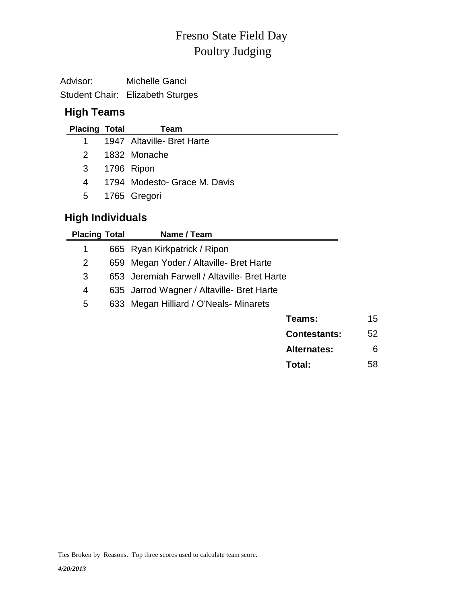# Poultry Judging Fresno State Field Day

Advisor: Michelle Ganci Student Chair: Elizabeth Sturges

# **High Teams**

| <b>Placing Total</b> | Team                         |
|----------------------|------------------------------|
|                      | 1947 Altaville- Bret Harte   |
| 2                    | 1832 Monache                 |
| 3                    | 1796 Ripon                   |
| 4                    | 1794 Modesto- Grace M. Davis |
| 5                    | 1765 Gregori                 |

## **High Individuals**

| <b>Placing Total</b> |     | Name / Team                                  |                     |    |
|----------------------|-----|----------------------------------------------|---------------------|----|
| 1                    |     | 665 Ryan Kirkpatrick / Ripon                 |                     |    |
| 2                    | 659 | Megan Yoder / Altaville- Bret Harte          |                     |    |
| 3                    |     | 653 Jeremiah Farwell / Altaville- Bret Harte |                     |    |
| 4                    |     | 635 Jarrod Wagner / Altaville- Bret Harte    |                     |    |
| 5                    |     | 633 Megan Hilliard / O'Neals- Minarets       |                     |    |
|                      |     |                                              | Teams:              | 15 |
|                      |     |                                              | <b>Contestants:</b> | 52 |
|                      |     |                                              | <b>Alternates:</b>  | 6  |

**Total:** 58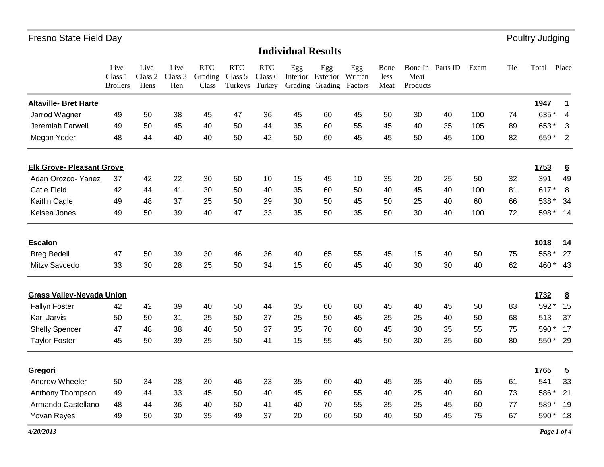# **Individual Results**

|                                  | Live<br>Class 1<br><b>Broilers</b> | Live<br>Class 2<br>Hens | Live<br>Class 3<br>Hen | <b>RTC</b><br>Grading<br>Class | <b>RTC</b><br>Class 5<br>Turkeys | <b>RTC</b><br>Class 6<br>Turkey | Egg | Egg<br>Interior Exterior<br>Grading Grading | Egg<br>Written<br>Factors | Bone<br>less<br>Meat | Meat<br>Products | Bone In Parts ID | Exam | Tie | Total    | Place                      |
|----------------------------------|------------------------------------|-------------------------|------------------------|--------------------------------|----------------------------------|---------------------------------|-----|---------------------------------------------|---------------------------|----------------------|------------------|------------------|------|-----|----------|----------------------------|
| <b>Altaville- Bret Harte</b>     |                                    |                         |                        |                                |                                  |                                 |     |                                             |                           |                      |                  |                  |      |     | 1947     | <u>1</u>                   |
| Jarrod Wagner                    | 49                                 | 50                      | 38                     | 45                             | 47                               | 36                              | 45  | 60                                          | 45                        | 50                   | 30               | 40               | 100  | 74  | 635*     | $\overline{4}$             |
| Jeremiah Farwell                 | 49                                 | 50                      | 45                     | 40                             | 50                               | 44                              | 35  | 60                                          | 55                        | 45                   | 40               | 35               | 105  | 89  | 653*     | 3                          |
| Megan Yoder                      | 48                                 | 44                      | 40                     | 40                             | 50                               | 42                              | 50  | 60                                          | 45                        | 45                   | 50               | 45               | 100  | 82  | 659*     | $\overline{\phantom{0}}^2$ |
| <b>Elk Grove- Pleasant Grove</b> |                                    |                         |                        |                                |                                  |                                 |     |                                             |                           |                      |                  |                  |      |     | 1753     | $6\overline{6}$            |
| Adan Orozco- Yanez               | 37                                 | 42                      | 22                     | 30                             | 50                               | 10                              | 15  | 45                                          | 10                        | 35                   | 20               | 25               | 50   | 32  | 391      | 49                         |
| <b>Catie Field</b>               | 42                                 | 44                      | 41                     | 30                             | 50                               | 40                              | 35  | 60                                          | 50                        | 40                   | 45               | 40               | 100  | 81  | 617*     | 8                          |
| Kaitlin Cagle                    | 49                                 | 48                      | 37                     | 25                             | 50                               | 29                              | 30  | 50                                          | 45                        | 50                   | 25               | 40               | 60   | 66  | 538 *    | 34                         |
| Kelsea Jones                     | 49                                 | 50                      | 39                     | 40                             | 47                               | 33                              | 35  | 50                                          | 35                        | 50                   | 30               | 40               | 100  | 72  | 598 * 14 |                            |
| <b>Escalon</b>                   |                                    |                         |                        |                                |                                  |                                 |     |                                             |                           |                      |                  |                  |      |     | 1018     | 14                         |
| <b>Breg Bedell</b>               | 47                                 | 50                      | 39                     | 30                             | 46                               | 36                              | 40  | 65                                          | 55                        | 45                   | 15               | 40               | 50   | 75  | 558 *    | 27                         |
| Mitzy Savcedo                    | 33                                 | 30                      | 28                     | 25                             | 50                               | 34                              | 15  | 60                                          | 45                        | 40                   | 30               | 30               | 40   | 62  | 460 * 43 |                            |
| <b>Grass Valley-Nevada Union</b> |                                    |                         |                        |                                |                                  |                                 |     |                                             |                           |                      |                  |                  |      |     | 1732     | $\underline{8}$            |
| <b>Fallyn Foster</b>             | 42                                 | 42                      | 39                     | 40                             | 50                               | 44                              | 35  | 60                                          | 60                        | 45                   | 40               | 45               | 50   | 83  | 592*     | 15                         |
| Kari Jarvis                      | 50                                 | 50                      | 31                     | 25                             | 50                               | 37                              | 25  | 50                                          | 45                        | 35                   | 25               | 40               | 50   | 68  | 513      | 37                         |
| <b>Shelly Spencer</b>            | 47                                 | 48                      | 38                     | 40                             | 50                               | 37                              | 35  | 70                                          | 60                        | 45                   | 30               | 35               | 55   | 75  | 590*     | 17                         |
| <b>Taylor Foster</b>             | 45                                 | 50                      | 39                     | 35                             | 50                               | 41                              | 15  | 55                                          | 45                        | 50                   | 30               | 35               | 60   | 80  | 550 * 29 |                            |
| Gregori                          |                                    |                         |                        |                                |                                  |                                 |     |                                             |                           |                      |                  |                  |      |     | 1765     | $\overline{5}$             |
| Andrew Wheeler                   | 50                                 | 34                      | 28                     | 30                             | 46                               | 33                              | 35  | 60                                          | 40                        | 45                   | 35               | 40               | 65   | 61  | 541      | 33                         |
| Anthony Thompson                 | 49                                 | 44                      | 33                     | 45                             | 50                               | 40                              | 45  | 60                                          | 55                        | 40                   | 25               | 40               | 60   | 73  | 586*     | 21                         |
| Armando Castellano               | 48                                 | 44                      | 36                     | 40                             | 50                               | 41                              | 40  | 70                                          | 55                        | 35                   | 25               | 45               | 60   | 77  | 589      | - 19                       |
| Yovan Reyes                      | 49                                 | 50                      | 30                     | 35                             | 49                               | 37                              | 20  | 60                                          | 50                        | 40                   | 50               | 45               | 75   | 67  | 590*     | 18                         |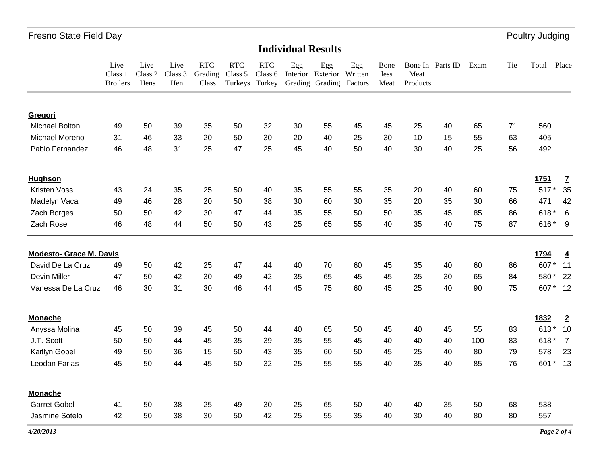# **Individual Results**

|                                | Live<br>Class 1<br><b>Broilers</b> | Live<br>Class 2<br>Hens | Live<br>Class 3<br>Hen | RTC<br>Grading<br>Class | <b>RTC</b><br>Class 5<br>Turkeys Turkey | <b>RTC</b><br>Class 6 | Egg | Egg<br>Interior Exterior<br>Grading Grading | Egg<br>Written<br>Factors | Bone<br>less<br>Meat | Meat<br>Products | Bone In Parts ID | Exam | Tie | Total  | Place          |
|--------------------------------|------------------------------------|-------------------------|------------------------|-------------------------|-----------------------------------------|-----------------------|-----|---------------------------------------------|---------------------------|----------------------|------------------|------------------|------|-----|--------|----------------|
|                                |                                    |                         |                        |                         |                                         |                       |     |                                             |                           |                      |                  |                  |      |     |        |                |
| Gregori                        |                                    |                         |                        |                         |                                         |                       |     |                                             |                           |                      |                  |                  |      |     |        |                |
| <b>Michael Bolton</b>          | 49                                 | 50                      | 39                     | 35                      | 50                                      | 32                    | 30  | 55                                          | 45                        | 45                   | 25               | 40               | 65   | 71  | 560    |                |
| Michael Moreno                 | 31                                 | 46                      | 33                     | 20                      | 50                                      | 30                    | 20  | 40                                          | 25                        | 30                   | 10               | 15               | 55   | 63  | 405    |                |
| Pablo Fernandez                | 46                                 | 48                      | 31                     | 25                      | 47                                      | 25                    | 45  | 40                                          | 50                        | 40                   | 30               | 40               | 25   | 56  | 492    |                |
| <b>Hughson</b>                 |                                    |                         |                        |                         |                                         |                       |     |                                             |                           |                      |                  |                  |      |     | 1751   | Z              |
| <b>Kristen Voss</b>            | 43                                 | 24                      | 35                     | 25                      | 50                                      | 40                    | 35  | 55                                          | 55                        | 35                   | 20               | 40               | 60   | 75  | $517*$ | 35             |
| Madelyn Vaca                   | 49                                 | 46                      | 28                     | 20                      | 50                                      | 38                    | 30  | 60                                          | 30                        | 35                   | 20               | 35               | 30   | 66  | 471    | 42             |
| Zach Borges                    | 50                                 | 50                      | 42                     | 30                      | 47                                      | 44                    | 35  | 55                                          | 50                        | 50                   | 35               | 45               | 85   | 86  | 618*   | 6              |
| Zach Rose                      | 46                                 | 48                      | 44                     | 50                      | 50                                      | 43                    | 25  | 65                                          | 55                        | 40                   | 35               | 40               | 75   | 87  | 616* 9 |                |
| <b>Modesto- Grace M. Davis</b> |                                    |                         |                        |                         |                                         |                       |     |                                             |                           |                      |                  |                  |      |     | 1794   | $\overline{4}$ |
| David De La Cruz               | 49                                 | 50                      | 42                     | 25                      | 47                                      | 44                    | 40  | 70                                          | 60                        | 45                   | 35               | 40               | 60   | 86  | 607*   | 11             |
| Devin Miller                   | 47                                 | 50                      | 42                     | 30                      | 49                                      | 42                    | 35  | 65                                          | 45                        | 45                   | 35               | 30               | 65   | 84  | 580*   | 22             |
| Vanessa De La Cruz             | 46                                 | 30                      | 31                     | 30                      | 46                                      | 44                    | 45  | 75                                          | 60                        | 45                   | 25               | 40               | 90   | 75  |        | 607 * 12       |
| <b>Monache</b>                 |                                    |                         |                        |                         |                                         |                       |     |                                             |                           |                      |                  |                  |      |     | 1832   | $\overline{2}$ |
| Anyssa Molina                  | 45                                 | 50                      | 39                     | 45                      | 50                                      | 44                    | 40  | 65                                          | 50                        | 45                   | 40               | 45               | 55   | 83  | 613*   | 10             |
| J.T. Scott                     | 50                                 | 50                      | 44                     | 45                      | 35                                      | 39                    | 35  | 55                                          | 45                        | 40                   | 40               | 40               | 100  | 83  | 618*   | $\overline{7}$ |
| Kaitlyn Gobel                  | 49                                 | 50                      | 36                     | 15                      | 50                                      | 43                    | 35  | 60                                          | 50                        | 45                   | 25               | 40               | 80   | 79  | 578    | 23             |
| Leodan Farias                  | 45                                 | 50                      | 44                     | 45                      | 50                                      | 32                    | 25  | 55                                          | 55                        | 40                   | 35               | 40               | 85   | 76  |        | 601 * 13       |
| <b>Monache</b>                 |                                    |                         |                        |                         |                                         |                       |     |                                             |                           |                      |                  |                  |      |     |        |                |
| <b>Garret Gobel</b>            | 41                                 | 50                      | 38                     | 25                      | 49                                      | 30                    | 25  | 65                                          | 50                        | 40                   | 40               | 35               | 50   | 68  | 538    |                |
| Jasmine Sotelo                 | 42                                 | 50                      | 38                     | 30                      | 50                                      | 42                    | 25  | 55                                          | 35                        | 40                   | 30               | 40               | 80   | 80  | 557    |                |
| 4/20/2013                      |                                    |                         |                        |                         |                                         |                       |     |                                             |                           |                      |                  |                  |      |     |        | Page 2 of 4    |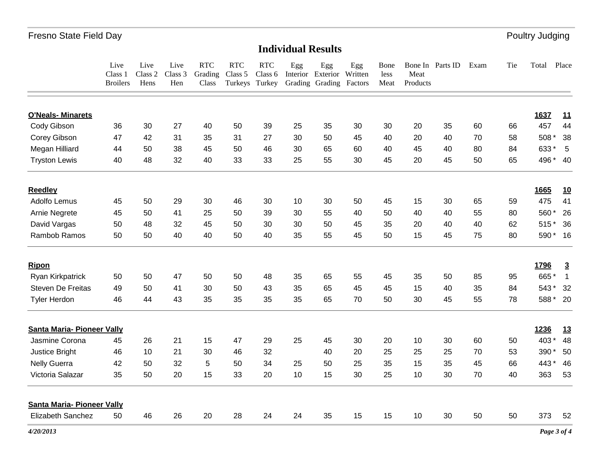# **Individual Results**

|                                   | Live<br>Class 1<br><b>Broilers</b> | Live<br>Class 2<br>Hens | Live<br>Class 3<br>Hen | <b>RTC</b><br>Grading<br>Class | <b>RTC</b><br>Class 5<br>Turkeys | <b>RTC</b><br>Class 6<br>Turkey | Egg<br>Interior | Egg<br>Exterior<br>Grading Grading | Egg<br>Written<br>Factors | Bone<br>less<br>Meat | Meat<br>Products | Bone In Parts ID | Exam | Tie | Total       | Place          |
|-----------------------------------|------------------------------------|-------------------------|------------------------|--------------------------------|----------------------------------|---------------------------------|-----------------|------------------------------------|---------------------------|----------------------|------------------|------------------|------|-----|-------------|----------------|
| <b>O'Neals- Minarets</b>          |                                    |                         |                        |                                |                                  |                                 |                 |                                    |                           |                      |                  |                  |      |     | 1637        | <u>11</u>      |
| Cody Gibson                       | 36                                 | 30                      | 27                     | 40                             | 50                               | 39                              | 25              | 35                                 | 30                        | 30                   | 20               | 35               | 60   | 66  | 457         | 44             |
| Corey Gibson                      | 47                                 | 42                      | 31                     | 35                             | 31                               | 27                              | 30              | 50                                 | 45                        | 40                   | 20               | 40               | 70   | 58  | 508 *       | 38             |
| Megan Hilliard                    | 44                                 | 50                      | 38                     | 45                             | 50                               | 46                              | 30              | 65                                 | 60                        | 40                   | 45               | 40               | 80   | 84  | 633*        | 5              |
| <b>Tryston Lewis</b>              | 40                                 | 48                      | 32                     | 40                             | 33                               | 33                              | 25              | 55                                 | 30                        | 45                   | 20               | 45               | 50   | 65  | 496 * 40    |                |
| <b>Reedley</b>                    |                                    |                         |                        |                                |                                  |                                 |                 |                                    |                           |                      |                  |                  |      |     | 1665        | <u>10</u>      |
| Adolfo Lemus                      | 45                                 | 50                      | 29                     | 30                             | 46                               | 30                              | 10              | 30                                 | 50                        | 45                   | 15               | 30               | 65   | 59  | 475         | 41             |
| Arnie Negrete                     | 45                                 | 50                      | 41                     | 25                             | 50                               | 39                              | 30              | 55                                 | 40                        | 50                   | 40               | 40               | 55   | 80  | 560*        | 26             |
| David Vargas                      | 50                                 | 48                      | 32                     | 45                             | 50                               | 30                              | 30              | 50                                 | 45                        | 35                   | 20               | 40               | 40   | 62  | 515         | 36             |
| Rambob Ramos                      | 50                                 | 50                      | 40                     | 40                             | 50                               | 40                              | 35              | 55                                 | 45                        | 50                   | 15               | 45               | 75   | 80  | 590* 16     |                |
| <b>Ripon</b>                      |                                    |                         |                        |                                |                                  |                                 |                 |                                    |                           |                      |                  |                  |      |     | 1796        | $\overline{3}$ |
| <b>Ryan Kirkpatrick</b>           | 50                                 | 50                      | 47                     | 50                             | 50                               | 48                              | 35              | 65                                 | 55                        | 45                   | 35               | 50               | 85   | 95  | 665*        | $\mathbf{1}$   |
| <b>Steven De Freitas</b>          | 49                                 | 50                      | 41                     | 30                             | 50                               | 43                              | 35              | 65                                 | 45                        | 45                   | 15               | 40               | 35   | 84  | 543*        | 32             |
| <b>Tyler Herdon</b>               | 46                                 | 44                      | 43                     | 35                             | 35                               | 35                              | 35              | 65                                 | 70                        | 50                   | 30               | 45               | 55   | 78  | 588*        | - 20           |
| Santa Maria- Pioneer Vally        |                                    |                         |                        |                                |                                  |                                 |                 |                                    |                           |                      |                  |                  |      |     | 1236        | 13             |
| Jasmine Corona                    | 45                                 | 26                      | 21                     | 15                             | 47                               | 29                              | 25              | 45                                 | 30                        | 20                   | 10               | 30               | 60   | 50  | 403*        | 48             |
| Justice Bright                    | 46                                 | 10                      | 21                     | 30                             | 46                               | 32                              |                 | 40                                 | 20                        | 25                   | 25               | 25               | 70   | 53  | 390*        | 50             |
| <b>Nelly Guerra</b>               | 42                                 | 50                      | 32                     | 5                              | 50                               | 34                              | 25              | 50                                 | 25                        | 35                   | 15               | 35               | 45   | 66  | 443*        | 46             |
| Victoria Salazar                  | 35                                 | 50                      | 20                     | 15                             | 33                               | 20                              | 10              | 15                                 | 30                        | 25                   | 10               | 30               | 70   | 40  | 363         | 53             |
| <b>Santa Maria- Pioneer Vally</b> |                                    |                         |                        |                                |                                  |                                 |                 |                                    |                           |                      |                  |                  |      |     |             |                |
| Elizabeth Sanchez                 | 50                                 | 46                      | 26                     | 20                             | 28                               | 24                              | 24              | 35                                 | 15                        | 15                   | 10               | 30               | 50   | 50  | 373         | 52             |
| 4/20/2013                         |                                    |                         |                        |                                |                                  |                                 |                 |                                    |                           |                      |                  |                  |      |     | Page 3 of 4 |                |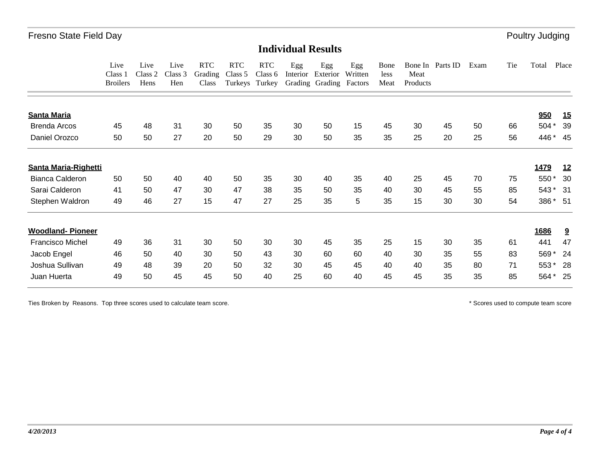#### **Individual Results**

|                             | Live<br>Class 1<br><b>Broilers</b> | Live<br>Class 2<br>Hens | Live<br>Class 3<br>Hen | <b>RTC</b><br>Grading<br>Class | <b>RTC</b><br>Class 5<br>Turkeys | <b>RTC</b><br>Class 6<br>Turkey | Egg<br>Interior | Egg<br>Exterior<br>Grading Grading | Egg<br>Written<br>Factors | Bone<br>less<br>Meat | Bone In<br>Meat<br>Products | Parts ID | Exam | Tie | Total | Place                   |
|-----------------------------|------------------------------------|-------------------------|------------------------|--------------------------------|----------------------------------|---------------------------------|-----------------|------------------------------------|---------------------------|----------------------|-----------------------------|----------|------|-----|-------|-------------------------|
| <b>Santa Maria</b>          |                                    |                         |                        |                                |                                  |                                 |                 |                                    |                           |                      |                             |          |      |     | 950   | 15                      |
| Brenda Arcos                | 45                                 | 48                      | 31                     | 30                             | 50                               | 35                              | 30              | 50                                 | 15                        | 45                   | 30                          | 45       | 50   | 66  | 504 * | 39                      |
| Daniel Orozco               | 50                                 | 50                      | 27                     | 20                             | 50                               | 29                              | 30              | 50                                 | 35                        | 35                   | 25                          | 20       | 25   | 56  |       | 446 * 45                |
| <b>Santa Maria-Righetti</b> |                                    |                         |                        |                                |                                  |                                 |                 |                                    |                           |                      |                             |          |      |     | 1479  | <u>12</u>               |
| <b>Bianca Calderon</b>      | 50                                 | 50                      | 40                     | 40                             | 50                               | 35                              | 30              | 40                                 | 35                        | 40                   | 25                          | 45       | 70   | 75  | 550*  | 30                      |
| Sarai Calderon              | 41                                 | 50                      | 47                     | 30                             | 47                               | 38                              | 35              | 50                                 | 35                        | 40                   | 30                          | 45       | 55   | 85  | 543*  | - 31                    |
| Stephen Waldron             | 49                                 | 46                      | 27                     | 15                             | 47                               | 27                              | 25              | 35                                 | 5                         | 35                   | 15                          | 30       | 30   | 54  |       | 386 * 51                |
| <b>Woodland-Pioneer</b>     |                                    |                         |                        |                                |                                  |                                 |                 |                                    |                           |                      |                             |          |      |     | 1686  | $\overline{\mathbf{a}}$ |
| <b>Francisco Michel</b>     | 49                                 | 36                      | 31                     | 30                             | 50                               | 30                              | 30              | 45                                 | 35                        | 25                   | 15                          | 30       | 35   | 61  | 441   | 47                      |
| Jacob Engel                 | 46                                 | 50                      | 40                     | 30                             | 50                               | 43                              | 30              | 60                                 | 60                        | 40                   | 30                          | 35       | 55   | 83  | 569*  | -24                     |
| Joshua Sullivan             | 49                                 | 48                      | 39                     | 20                             | 50                               | 32                              | 30              | 45                                 | 45                        | 40                   | 40                          | 35       | 80   | 71  | 553*  | 28                      |
| Juan Huerta                 | 49                                 | 50                      | 45                     | 45                             | 50                               | 40                              | 25              | 60                                 | 40                        | 45                   | 45                          | 35       | 35   | 85  | 564 * | - 25                    |

Ties Broken by Reasons. Top three scores used to calculate team score. The state of the scores used to compute team score compute team score